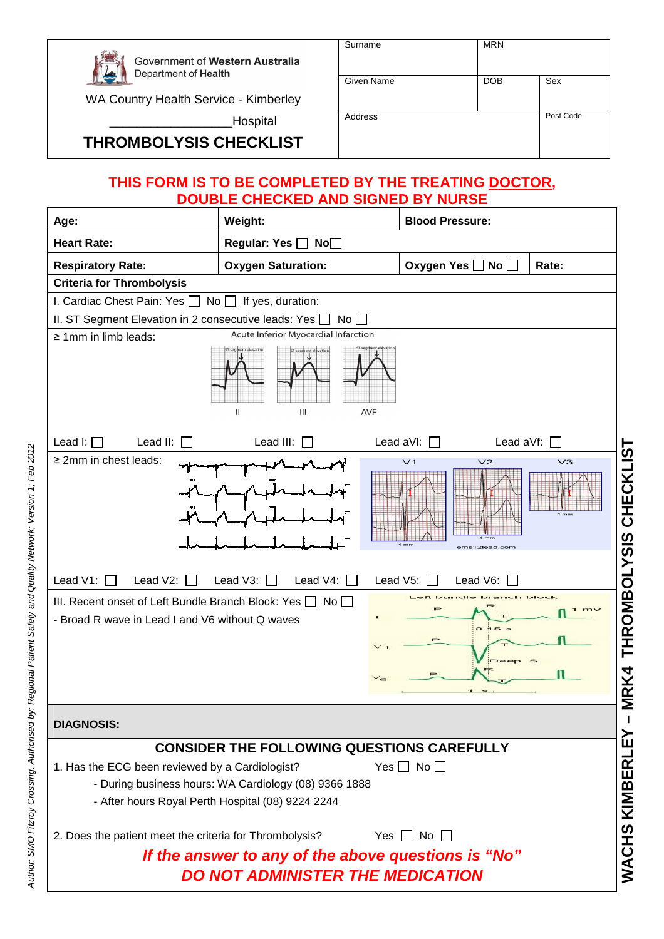

Government of Western Australia Department of Health

WA Country Health Service - Kimberley

\_Hospital

## **THROMBOLYSIS CHECKLIST**

| Surname    | <b>MRN</b> |           |
|------------|------------|-----------|
| Given Name | <b>DOB</b> | Sex       |
| Address    |            | Post Code |

## **THIS FORM IS TO BE COMPLETED BY THE TREATING DOCTOR, DOUBLE CHECKED AND SIGNED BY NURSE**

| Age:                                                                                                                   | Weight:                                                                                                    |            | <b>Blood Pressure:</b> |                                 |                                  |                        |
|------------------------------------------------------------------------------------------------------------------------|------------------------------------------------------------------------------------------------------------|------------|------------------------|---------------------------------|----------------------------------|------------------------|
| <b>Heart Rate:</b>                                                                                                     | <b>Regular: Yes</b> □<br>No <sub>1</sub>                                                                   |            |                        |                                 |                                  |                        |
| <b>Respiratory Rate:</b>                                                                                               | <b>Oxygen Saturation:</b>                                                                                  |            | Oxygen Yes □           | No $\Box$                       | Rate:                            |                        |
| <b>Criteria for Thrombolysis</b>                                                                                       |                                                                                                            |            |                        |                                 |                                  |                        |
| I. Cardiac Chest Pain: Yes<br>No I                                                                                     | If yes, duration:                                                                                          |            |                        |                                 |                                  |                        |
| II. ST Segment Elevation in 2 consecutive leads: Yes                                                                   | No l                                                                                                       |            |                        |                                 |                                  |                        |
| $\geq$ 1mm in limb leads:                                                                                              | Acute Inferior Myocardial Infarction                                                                       |            |                        |                                 |                                  |                        |
|                                                                                                                        | Ш<br>Ш                                                                                                     | <b>AVF</b> |                        |                                 |                                  |                        |
| Lead I: $\Box$<br>Lead II:                                                                                             | Lead III:                                                                                                  |            | Lead aVI:              | Lead aVf: $[$                   |                                  |                        |
| $\geq$ 2mm in chest leads:                                                                                             |                                                                                                            |            | V <sub>1</sub>         | V <sub>2</sub><br>ems12lead.com | V <sub>3</sub><br>$4 \text{ mm}$ | THROMBOLYSIS CHECKLIST |
| Lead V1:<br>Lead V2:                                                                                                   | Lead V3:<br>Lead V4:                                                                                       | Lead V5:   |                        | Lead V6:                        |                                  |                        |
| III. Recent onset of Left Bundle Branch Block: Yes $\Box$ No $\Box$<br>- Broad R wave in Lead I and V6 without Q waves |                                                                                                            |            |                        | branch block                    |                                  |                        |
|                                                                                                                        |                                                                                                            |            |                        |                                 |                                  | VIRK4                  |
| <b>DIAGNOSIS:</b>                                                                                                      |                                                                                                            |            |                        |                                 |                                  |                        |
|                                                                                                                        | <b>CONSIDER THE FOLLOWING QUESTIONS CAREFULLY</b>                                                          |            |                        |                                 |                                  | ∑<br>∐                 |
| 1. Has the ECG been reviewed by a Cardiologist?                                                                        | - During business hours: WA Cardiology (08) 9366 1888<br>- After hours Royal Perth Hospital (08) 9224 2244 |            | Yes $\Box$ No $\Box$   |                                 |                                  | <b>WACHS KIMBERI</b>   |
| 2. Does the patient meet the criteria for Thrombolysis?                                                                |                                                                                                            |            | Yes $\Box$ No $\Box$   |                                 |                                  |                        |
| If the answer to any of the above questions is "No"                                                                    |                                                                                                            |            |                        |                                 |                                  |                        |
| <b>DO NOT ADMINISTER THE MEDICATION</b>                                                                                |                                                                                                            |            |                        |                                 |                                  |                        |